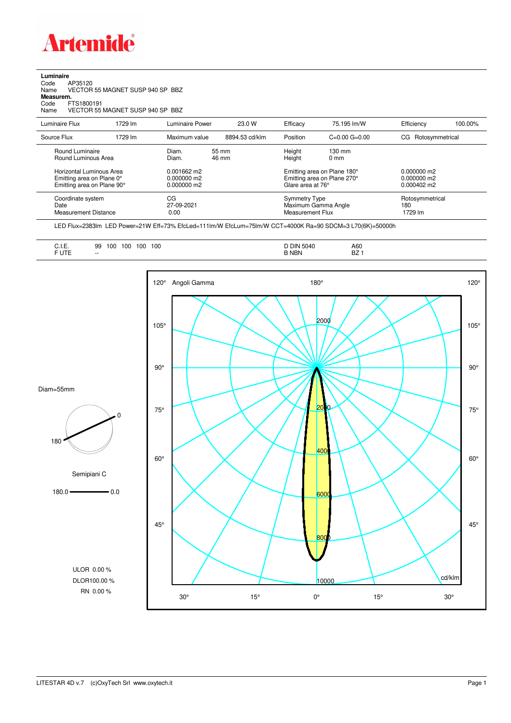

## **Luminaire**<br>Code<br>Name Code AP35120 Name VECTOR 55 MAGNET SUSP 940 SP BBZ **Measurem.** Code FTS1800191 Name VECTOR 55 MAGNET SUSP 940 SP BBZ

| Luminaire Flux                                                                      | 1729 lm | Luminaire Power                 | 23.0 W         | Efficacy                                 | 75.195 lm/W                                                                           | Efficiency                        | 100.00%                                                |  |
|-------------------------------------------------------------------------------------|---------|---------------------------------|----------------|------------------------------------------|---------------------------------------------------------------------------------------|-----------------------------------|--------------------------------------------------------|--|
| Source Flux                                                                         | 1729 lm | Maximum value                   | 8894.53 cd/klm | Position                                 | $C=0.00$ $G=0.00$                                                                     | Rotosymmetrical<br>CG.            |                                                        |  |
| Round Luminaire<br>Round Luminous Area                                              |         | Diam.<br>Diam.<br>$0.001662$ m2 | 55 mm<br>46 mm |                                          | Height<br>$130 \text{ mm}$<br>Height<br>$0 \text{ mm}$<br>Emitting area on Plane 180° |                                   |                                                        |  |
| Horizontal Luminous Area<br>Emitting area on Plane 0°<br>Emitting area on Plane 90° |         | $0.000000$ m2<br>$0.000000$ m2  |                |                                          | Emitting area on Plane 270°<br>Glare area at 76°                                      |                                   | $0.000000$ m2<br>$0.000000$ m2<br>$0.000402 \text{ m}$ |  |
| Coordinate system<br>Date<br><b>Measurement Distance</b>                            |         | CG<br>27-09-2021<br>0.00        |                | <b>Symmetry Type</b><br>Measurement Flux | Maximum Gamma Angle                                                                   | Rotosymmetrical<br>180<br>1729 lm |                                                        |  |

LED Flux=2383lm LED Power=21W Eff=73% EfcLed=111lm/W EfcLum=75lm/W CCT=4000K Ra=90 SDCM=3 L70(6K)=50000h